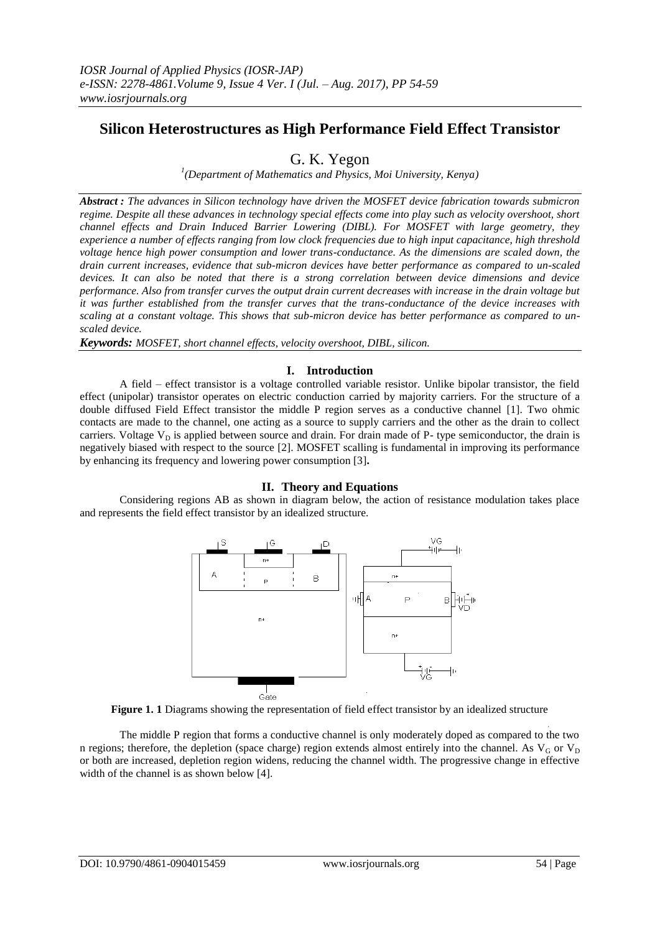# **Silicon Heterostructures as High Performance Field Effect Transistor**

## G. K. Yegon

*1 (Department of Mathematics and Physics, Moi University, Kenya)*

*Abstract : The advances in Silicon technology have driven the MOSFET device fabrication towards submicron regime. Despite all these advances in technology special effects come into play such as velocity overshoot, short channel effects and Drain Induced Barrier Lowering (DIBL). For MOSFET with large geometry, they experience a number of effects ranging from low clock frequencies due to high input capacitance, high threshold voltage hence high power consumption and lower trans-conductance. As the dimensions are scaled down, the drain current increases, evidence that sub-micron devices have better performance as compared to un-scaled devices. It can also be noted that there is a strong correlation between device dimensions and device performance. Also from transfer curves the output drain current decreases with increase in the drain voltage but it was further established from the transfer curves that the trans-conductance of the device increases with scaling at a constant voltage. This shows that sub-micron device has better performance as compared to unscaled device.* 

*Keywords: MOSFET, short channel effects, velocity overshoot, DIBL, silicon.*

## **I. Introduction**

A field – effect transistor is a voltage controlled variable resistor. Unlike bipolar transistor, the field effect (unipolar) transistor operates on electric conduction carried by majority carriers. For the structure of a double diffused Field Effect transistor the middle P region serves as a conductive channel [1]. Two ohmic contacts are made to the channel, one acting as a source to supply carriers and the other as the drain to collect carriers. Voltage  $V_D$  is applied between source and drain. For drain made of P- type semiconductor, the drain is negatively biased with respect to the source [2]. MOSFET scalling is fundamental in improving its performance by enhancing its frequency and lowering power consumption [3]**.**

### **II. Theory and Equations**

Considering regions AB as shown in diagram below, the action of resistance modulation takes place and represents the field effect transistor by an idealized structure.





The middle P region that forms a conductive channel is only moderately doped as compared to the two n regions; therefore, the depletion (space charge) region extends almost entirely into the channel. As  $V_G$  or  $V_D$ or both are increased, depletion region widens, reducing the channel width. The progressive change in effective width of the channel is as shown below [4].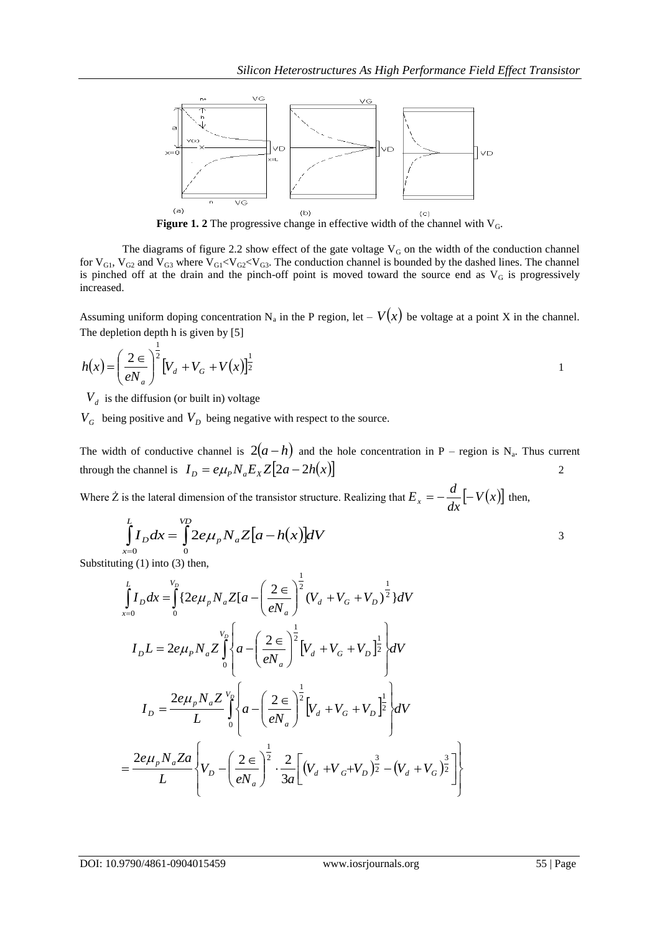

**Figure 1. 2** The progressive change in effective width of the channel with V<sub>G</sub>.

The diagrams of figure 2.2 show effect of the gate voltage  $V_G$  on the width of the conduction channel for  $V_{G1}$ ,  $V_{G2}$  and  $V_{G3}$  where  $V_{G1} < V_{G2} < V_{G3}$ . The conduction channel is bounded by the dashed lines. The channel is pinched off at the drain and the pinch-off point is moved toward the source end as  $V_G$  is progressively increased.

Assuming uniform doping concentration  $N_a$  in the P region, let  $-V(x)$  be voltage at a point X in the channel. The depletion depth h is given by [5]

$$
h(x) = \left(\frac{2}{eN_a}\right)^{\frac{1}{2}} \left[V_d + V_G + V(x)\right]^{\frac{1}{2}}
$$

 $V_d$  is the diffusion (or built in) voltage

1

 $V_G$  being positive and  $V_D$  being negative with respect to the source.

The width of conductive channel is  $2(a-h)$  and the hole concentration in P – region is N<sub>a</sub>. Thus current through the channel is  $I_D = e\mu_p N_a E_x Z [2a - 2h(x)]$  $\mathcal{D}_{\alpha}$ 

Where  $\dot{Z}$  is the lateral dimension of the transistor structure. Realizing that  $E_x = -\frac{u}{\lambda}[-V(x)]$ *dx*  $E_x = -\frac{d}{dx} \left[ -V(x) \right]$  then,

$$
\int_{-0}^{L} I_D dx = \int_{0}^{VD} 2e\mu_p N_a Z[a - h(x)]dV
$$

Substituting (1) into (3) then,

*x*

$$
\int_{x=0}^{L} I_D dx = \int_{0}^{V_D} \{2e\mu_p N_a Z[a - \left(\frac{2}{eN_a}\right)^{\frac{1}{2}} (V_d + V_G + V_D)^{\frac{1}{2}}\}dV
$$
\n
$$
I_D L = 2e\mu_p N_a Z \int_{0}^{V_D} \left\{a - \left(\frac{2}{eN_a}\right)^{\frac{1}{2}} \left[V_d + V_G + V_D\right]^{\frac{1}{2}}\right\}dV
$$
\n
$$
I_D = \frac{2e\mu_p N_a Z}{L} \int_{0}^{V_D} \left\{a - \left(\frac{2}{eN_a}\right)^{\frac{1}{2}} \left[V_d + V_G + V_D\right]^{\frac{1}{2}}\right\}dV
$$
\n
$$
= \frac{2e\mu_p N_a Za}{L} \left\{V_D - \left(\frac{2}{eN_a}\right)^{\frac{1}{2}} \cdot \frac{2}{3a} \left[(V_d + V_G + V_D)^{\frac{3}{2}} - (V_d + V_G)^{\frac{3}{2}}\right]\right\}
$$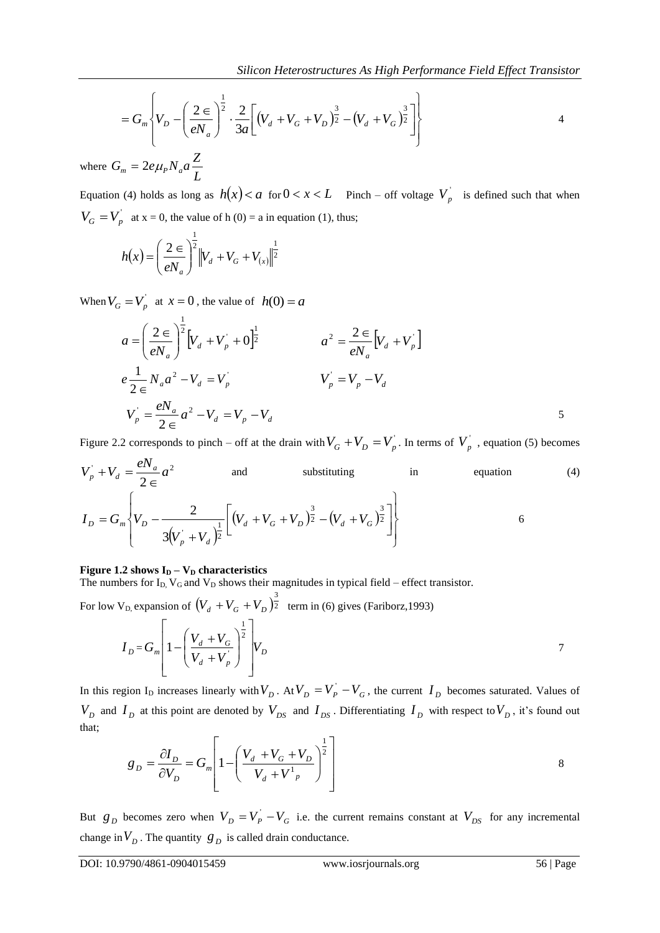$$
= G_m \left\{ V_D - \left( \frac{2 \epsilon}{e N_a} \right)^{\frac{1}{2}} \cdot \frac{2}{3a} \left[ \left( V_d + V_G + V_D \right)^{\frac{3}{2}} - \left( V_d + V_G \right)^{\frac{3}{2}} \right] \right\}
$$

where  $G_m = 2e\mu_P N_a a \frac{1}{L}$  $G_m = 2e\mu_p N_a a \frac{Z}{I}$ 

Equation (4) holds as long as  $h(x) < a$  for  $0 < x < L$  Pinch – off voltage  $V_p$  is defined such that when  $V_G = V_p$  at x = 0, the value of h (0) = a in equation (1), thus;

$$
h(x) = \left(\frac{2}{eN_a}\right)^{\frac{1}{2}} \left\|V_a + V_a + V_{(x)}\right\|^{\frac{1}{2}}
$$

When  $V_G = V_p$  at  $x = 0$ , the value of  $h(0) = a$ 

$$
a = \left(\frac{2}{eN_a}\right)^{\frac{1}{2}} \left[V_d + V_p + 0\right]^{\frac{1}{2}}
$$
  
\n
$$
a^2 = \frac{2}{eN_a} \left[V_d + V_p\right]
$$
  
\n
$$
e\frac{1}{2\epsilon}N_a a^2 - V_d = V_p
$$
  
\n
$$
V_p = V_p - V_d
$$
  
\n
$$
V_p = \frac{eN_a}{2\epsilon} a^2 - V_d = V_p - V_d
$$
  
\n
$$
5
$$

Figure 2.2 corresponds to pinch – off at the drain with  $V_G + V_D = V_p$ . In terms of  $V_p$ , equation (5) becomes

$$
V_p^{\dagger} + V_d = \frac{eN_a}{2 \epsilon} a^2
$$
 and substituting in equation (4)  

$$
I_D = G_m \left\{ V_D - \frac{2}{3(V_p^{\dagger} + V_d)^{\frac{1}{2}}} \left[ (V_d + V_G + V_D)^{\frac{3}{2}} - (V_d + V_G)^{\frac{3}{2}} \right] \right\}
$$

#### **Figure 1.2 shows**  $I_D - V_D$  **characteristics**

The numbers for  $I_D$ ,  $V_G$  and  $V_D$  shows their magnitudes in typical field – effect transistor.

For low V<sub>D,</sub> expansion of  $(V_d + V_G + V_D)^{\frac{3}{2}}$  term in (6) gives (Fariborz, 1993)

$$
I_{D} = G_{m} \left[ 1 - \left( \frac{V_{d} + V_{G}}{V_{d} + V_{p}} \right)^{\frac{1}{2}} \right] V_{D}
$$

In this region I<sub>D</sub> increases linearly with  $V_D$ . At  $V_D = V_P^{'} - V_G$ , the current  $I_D$  becomes saturated. Values of  $V_D$  and  $I_D$  at this point are denoted by  $V_{DS}$  and  $I_{DS}$ . Differentiating  $I_D$  with respect to  $V_D$ , it's found out that;

$$
g_D = \frac{\partial I_D}{\partial V_D} = G_m \left[ 1 - \left( \frac{V_d + V_G + V_D}{V_d + V^1_{p}} \right)^{\frac{1}{2}} \right]
$$
 8

But  $g_D$  becomes zero when  $V_D = V_P^{\prime} - V_G$  i.e. the current remains constant at  $V_{DS}$  for any incremental change in  $V_D$ . The quantity  $g_D$  is called drain conductance.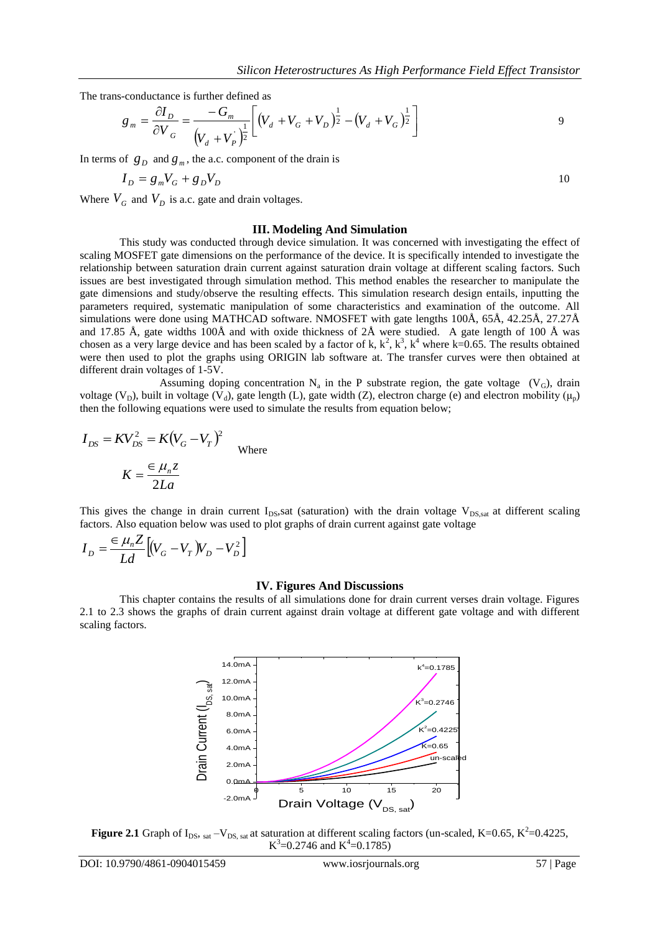The trans-conductance is further defined as

$$
g_m = \frac{\partial I_D}{\partial V_G} = \frac{-G_m}{(V_d + V_p)^{\frac{1}{2}}} \left[ (V_d + V_G + V_D)^{\frac{1}{2}} - (V_d + V_G)^{\frac{1}{2}} \right]
$$

In terms of  $g_p$  and  $g_m$ , the a.c. component of the drain is

$$
I_D = g_m V_G + g_D V_D \tag{10}
$$

Where  $V_G$  and  $V_D$  is a.c. gate and drain voltages.

#### **III. Modeling And Simulation**

This study was conducted through device simulation. It was concerned with investigating the effect of scaling MOSFET gate dimensions on the performance of the device. It is specifically intended to investigate the relationship between saturation drain current against saturation drain voltage at different scaling factors. Such issues are best investigated through simulation method. This method enables the researcher to manipulate the gate dimensions and study/observe the resulting effects. This simulation research design entails, inputting the parameters required, systematic manipulation of some characteristics and examination of the outcome. All simulations were done using MATHCAD software. NMOSFET with gate lengths 100Å, 65Å, 42.25Å, 27.27Å and 17.85 Å, gate widths 100Å and with oxide thickness of 2Å were studied. A gate length of 100 Å was chosen as a very large device and has been scaled by a factor of k,  $k^2$ ,  $k^3$ ,  $k^4$  where k=0.65. The results obtained were then used to plot the graphs using ORIGIN lab software at. The transfer curves were then obtained at different drain voltages of 1-5V.

Assuming doping concentration  $N_a$  in the P substrate region, the gate voltage  $(V_G)$ , drain voltage (V<sub>D</sub>), built in voltage (V<sub>d</sub>), gate length (L), gate width (Z), electron charge (e) and electron mobility ( $\mu_p$ ) then the following equations were used to simulate the results from equation below;

$$
I_{DS} = KV_{DS}^2 = K(V_G - V_T)^2
$$
Where  

$$
K = \frac{\epsilon \mu_n z}{2La}
$$

This gives the change in drain current  $I_{DS}$ , sat (saturation) with the drain voltage  $V_{DS, sat}$  at different scaling factors. Also equation below was used to plot graphs of drain current against gate voltage

$$
I_D = \frac{\epsilon \mu_n Z}{Ld} \Big[ (V_G - V_T) V_D - V_D^2 \Big]
$$

#### **IV. Figures And Discussions**

This chapter contains the results of all simulations done for drain current verses drain voltage. Figures 2.1 to 2.3 shows the graphs of drain current against drain voltage at different gate voltage and with different scaling factors.



**Figure 2.1** Graph of  $I_{DS}$ ,  $_{sat}$  –V<sub>DS, sat</sub> at saturation at different scaling factors (un-scaled, K=0.65, K<sup>2</sup>=0.4225,  $K^3$ =0.2746 and  $K^4$ =0.1785)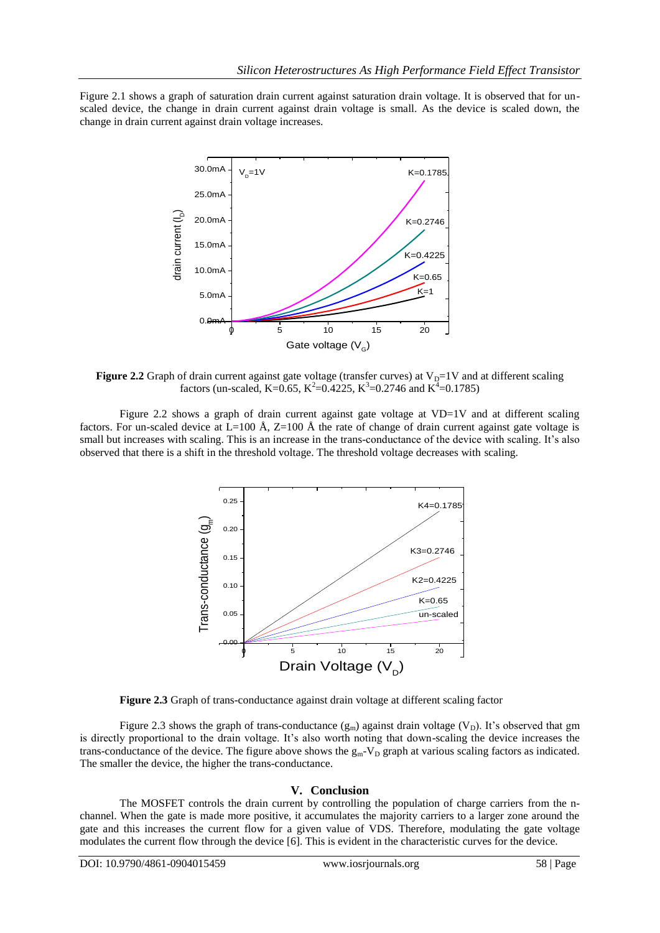Figure 2.1 shows a graph of saturation drain current against saturation drain voltage. It is observed that for unscaled device, the change in drain current against drain voltage is small. As the device is scaled down, the change in drain current against drain voltage increases.



**Figure 2.2** Graph of drain current against gate voltage (transfer curves) at  $V_D=1V$  and at different scaling factors (un-scaled, K=0.65, K<sup>2</sup>=0.4225, K<sup>3</sup>=0.2746 and K<sup>4</sup>=0.1785)

Figure 2.2 shows a graph of drain current against gate voltage at VD=1V and at different scaling factors. For un-scaled device at  $L=100 \text{ Å}$ ,  $Z=100 \text{ Å}$  the rate of change of drain current against gate voltage is small but increases with scaling. This is an increase in the trans-conductance of the device with scaling. It's also observed that there is a shift in the threshold voltage. The threshold voltage decreases with scaling.



**Figure 2.3** Graph of trans-conductance against drain voltage at different scaling factor

Figure 2.3 shows the graph of trans-conductance  $(g_m)$  against drain voltage (V<sub>D</sub>). It's observed that gm is directly proportional to the drain voltage. It's also worth noting that down-scaling the device increases the trans-conductance of the device. The figure above shows the  $g_m-V_D$  graph at various scaling factors as indicated. The smaller the device, the higher the trans-conductance.

### **V. Conclusion**

The MOSFET controls the drain current by controlling the population of charge carriers from the nchannel. When the gate is made more positive, it accumulates the majority carriers to a larger zone around the gate and this increases the current flow for a given value of VDS. Therefore, modulating the gate voltage modulates the current flow through the device [6]. This is evident in the characteristic curves for the device.